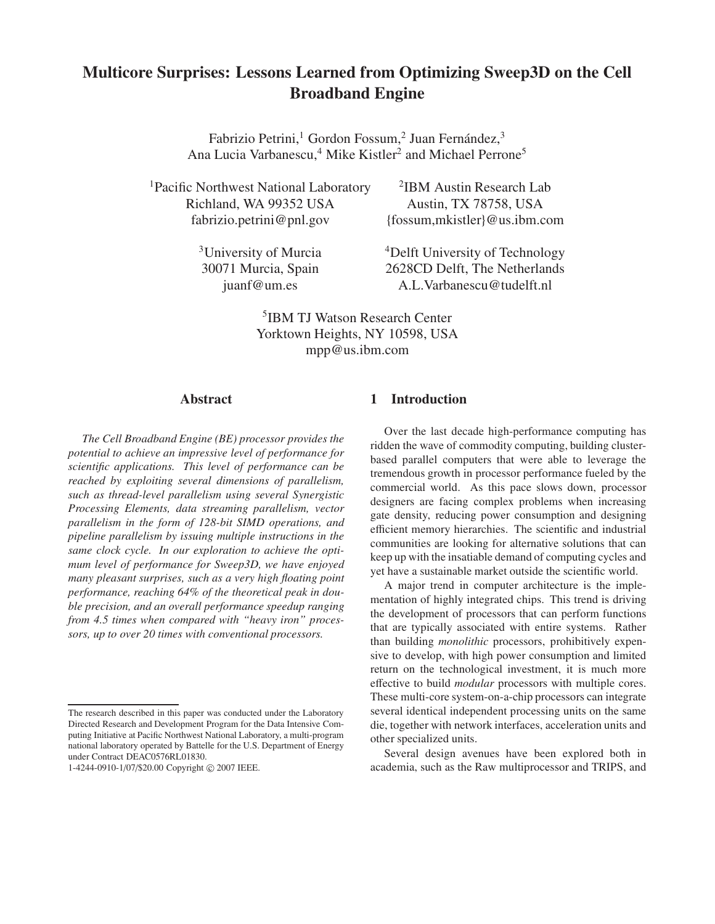# **Multicore Surprises: Lessons Learned from Optimizing Sweep3D on the Cell Broadband Engine**

Fabrizio Petrini,<sup>1</sup> Gordon Fossum,<sup>2</sup> Juan Fernández,<sup>3</sup> Ana Lucia Varbanescu,<sup>4</sup> Mike Kistler<sup>2</sup> and Michael Perrone<sup>5</sup>

<sup>1</sup>Pacific Northwest National Laboratory Richland, WA 99352 USA Austin, TX 78758, USA

 ${}^{2}$ IBM Austin Research Lab fabrizio.petrini@pnl.gov {fossum,mkistler}@us.ibm.com

<sup>3</sup>University of Murcia <sup>4</sup>Delft University of Technology 30071 Murcia, Spain 2628CD Delft, The Netherlands juanf@um.es A.L.Varbanescu@tudelft.nl

> 5 IBM TJ Watson Research Center Yorktown Heights, NY 10598, USA mpp@us.ibm.com

# **Abstract**

*The Cell Broadband Engine (BE) processor provides the potential to achieve an impressive level of performance for scientific applications. This level of performance can be reached by exploiting several dimensions of parallelism, such as thread-level parallelism using several Synergistic Processing Elements, data streaming parallelism, vector parallelism in the form of 128-bit SIMD operations, and pipeline parallelism by issuing multiple instructions in the same clock cycle. In our exploration to achieve the optimum level of performance for Sweep3D, we have enjoyed many pleasant surprises, such as a very high floating point performance, reaching 64% of the theoretical peak in double precision, and an overall performance speedup ranging from 4.5 times when compared with "heavy iron" processors, up to over 20 times with conventional processors.*

# **1 Introduction**

Over the last decade high-performance computing has ridden the wave of commodity computing, building clusterbased parallel computers that were able to leverage the tremendous growth in processor performance fueled by the commercial world. As this pace slows down, processor designers are facing complex problems when increasing gate density, reducing power consumption and designing efficient memory hierarchies. The scientific and industrial communities are looking for alternative solutions that can keep up with the insatiable demand of computing cycles and yet have a sustainable market outside the scientific world.

A major trend in computer architecture is the implementation of highly integrated chips. This trend is driving the development of processors that can perform functions that are typically associated with entire systems. Rather than building *monolithic* processors, prohibitively expensive to develop, with high power consumption and limited return on the technological investment, it is much more effective to build *modular* processors with multiple cores. These multi-core system-on-a-chip processors can integrate several identical independent processing units on the same die, together with network interfaces, acceleration units and other specialized units.

Several design avenues have been explored both in academia, such as the Raw multiprocessor and TRIPS, and

The research described in this paper was conducted under the Laboratory Directed Research and Development Program for the Data Intensive Computing Initiative at Pacific Northwest National Laboratory, a multi-program national laboratory operated by Battelle for the U.S. Department of Energy under Contract DEAC0576RL01830.

<sup>1-4244-0910-1/07/\$20.00</sup> Copyright © 2007 IEEE.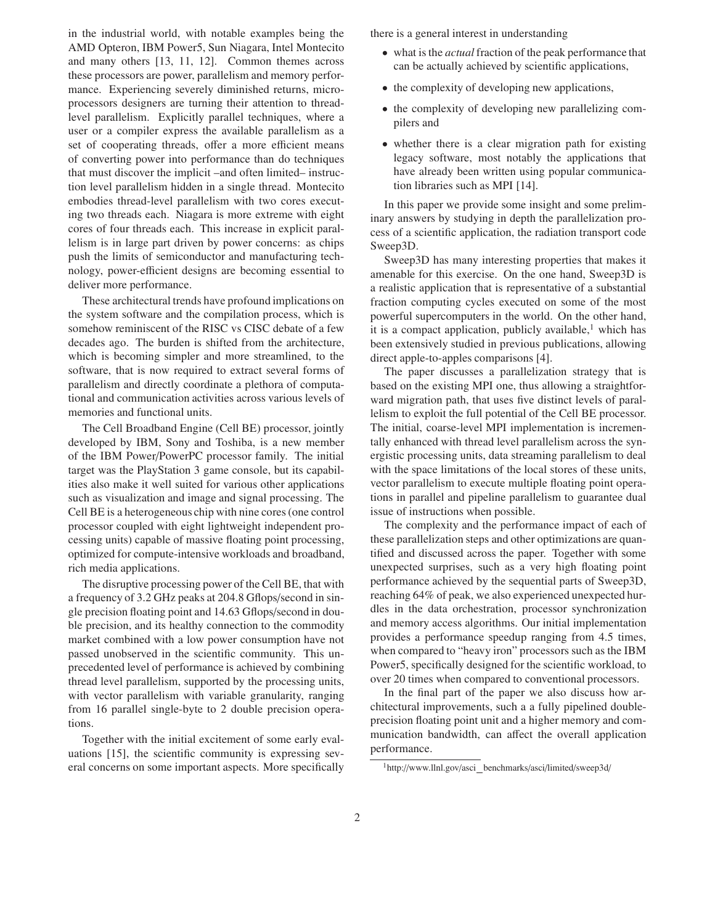in the industrial world, with notable examples being the AMD Opteron, IBM Power5, Sun Niagara, Intel Montecito and many others [13, 11, 12]. Common themes across these processors are power, parallelism and memory performance. Experiencing severely diminished returns, microprocessors designers are turning their attention to threadlevel parallelism. Explicitly parallel techniques, where a user or a compiler express the available parallelism as a set of cooperating threads, offer a more efficient means of converting power into performance than do techniques that must discover the implicit –and often limited– instruction level parallelism hidden in a single thread. Montecito embodies thread-level parallelism with two cores executing two threads each. Niagara is more extreme with eight cores of four threads each. This increase in explicit parallelism is in large part driven by power concerns: as chips push the limits of semiconductor and manufacturing technology, power-efficient designs are becoming essential to deliver more performance.

These architectural trends have profound implications on the system software and the compilation process, which is somehow reminiscent of the RISC vs CISC debate of a few decades ago. The burden is shifted from the architecture, which is becoming simpler and more streamlined, to the software, that is now required to extract several forms of parallelism and directly coordinate a plethora of computational and communication activities across various levels of memories and functional units.

The Cell Broadband Engine (Cell BE) processor, jointly developed by IBM, Sony and Toshiba, is a new member of the IBM Power/PowerPC processor family. The initial target was the PlayStation 3 game console, but its capabilities also make it well suited for various other applications such as visualization and image and signal processing. The Cell BE is a heterogeneous chip with nine cores (one control processor coupled with eight lightweight independent processing units) capable of massive floating point processing, optimized for compute-intensive workloads and broadband, rich media applications.

The disruptive processing power of the Cell BE, that with a frequency of 3.2 GHz peaks at 204.8 Gflops/second in single precision floating point and 14.63 Gflops/second in double precision, and its healthy connection to the commodity market combined with a low power consumption have not passed unobserved in the scientific community. This unprecedented level of performance is achieved by combining thread level parallelism, supported by the processing units, with vector parallelism with variable granularity, ranging from 16 parallel single-byte to 2 double precision operations.

Together with the initial excitement of some early evaluations [15], the scientific community is expressing several concerns on some important aspects. More specifically there is a general interest in understanding

- what is the *actual* fraction of the peak performance that can be actually achieved by scientific applications,
- the complexity of developing new applications,
- the complexity of developing new parallelizing compilers and
- whether there is a clear migration path for existing legacy software, most notably the applications that have already been written using popular communication libraries such as MPI [14].

In this paper we provide some insight and some preliminary answers by studying in depth the parallelization process of a scientific application, the radiation transport code Sweep3D.

Sweep3D has many interesting properties that makes it amenable for this exercise. On the one hand, Sweep3D is a realistic application that is representative of a substantial fraction computing cycles executed on some of the most powerful supercomputers in the world. On the other hand, it is a compact application, publicly available, $<sup>1</sup>$  which has</sup> been extensively studied in previous publications, allowing direct apple-to-apples comparisons [4].

The paper discusses a parallelization strategy that is based on the existing MPI one, thus allowing a straightforward migration path, that uses five distinct levels of parallelism to exploit the full potential of the Cell BE processor. The initial, coarse-level MPI implementation is incrementally enhanced with thread level parallelism across the synergistic processing units, data streaming parallelism to deal with the space limitations of the local stores of these units, vector parallelism to execute multiple floating point operations in parallel and pipeline parallelism to guarantee dual issue of instructions when possible.

The complexity and the performance impact of each of these parallelization steps and other optimizations are quantified and discussed across the paper. Together with some unexpected surprises, such as a very high floating point performance achieved by the sequential parts of Sweep3D, reaching 64% of peak, we also experienced unexpected hurdles in the data orchestration, processor synchronization and memory access algorithms. Our initial implementation provides a performance speedup ranging from 4.5 times, when compared to "heavy iron" processors such as the IBM Power5, specifically designed for the scientific workload, to over 20 times when compared to conventional processors.

In the final part of the paper we also discuss how architectural improvements, such a a fully pipelined doubleprecision floating point unit and a higher memory and communication bandwidth, can affect the overall application performance.

<sup>1</sup>http://www.llnl.gov/asci benchmarks/asci/limited/sweep3d/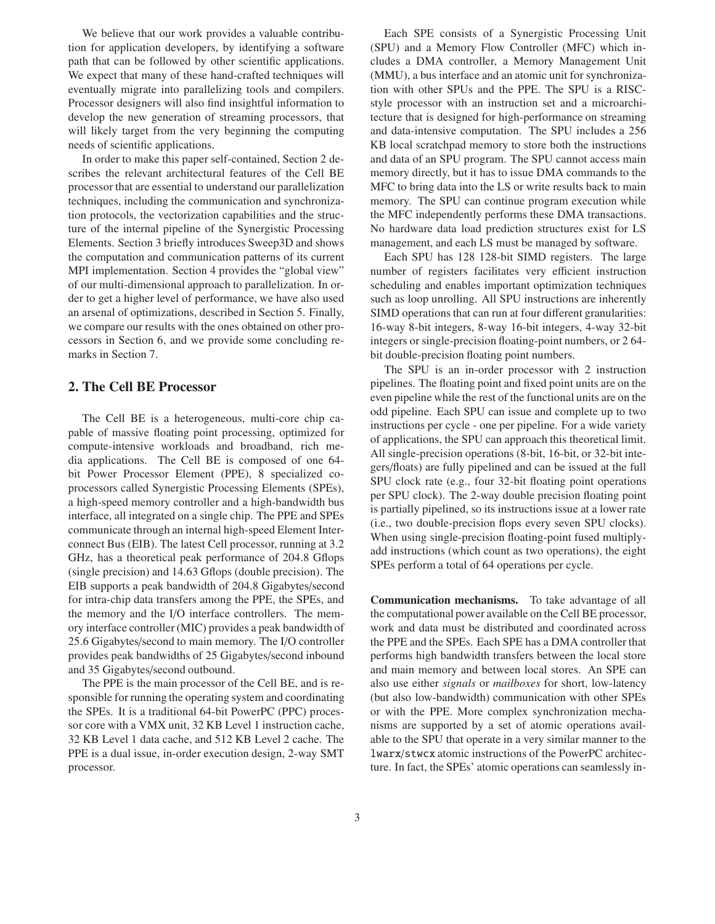We believe that our work provides a valuable contribution for application developers, by identifying a software path that can be followed by other scientific applications. We expect that many of these hand-crafted techniques will eventually migrate into parallelizing tools and compilers. Processor designers will also find insightful information to develop the new generation of streaming processors, that will likely target from the very beginning the computing needs of scientific applications.

In order to make this paper self-contained, Section 2 describes the relevant architectural features of the Cell BE processor that are essential to understand our parallelization techniques, including the communication and synchronization protocols, the vectorization capabilities and the structure of the internal pipeline of the Synergistic Processing Elements. Section 3 briefly introduces Sweep3D and shows the computation and communication patterns of its current MPI implementation. Section 4 provides the "global view" of our multi-dimensional approach to parallelization. In order to get a higher level of performance, we have also used an arsenal of optimizations, described in Section 5. Finally, we compare our results with the ones obtained on other processors in Section 6, and we provide some concluding remarks in Section 7.

## **2. The Cell BE Processor**

The Cell BE is a heterogeneous, multi-core chip capable of massive floating point processing, optimized for compute-intensive workloads and broadband, rich media applications. The Cell BE is composed of one 64 bit Power Processor Element (PPE), 8 specialized coprocessors called Synergistic Processing Elements (SPEs), a high-speed memory controller and a high-bandwidth bus interface, all integrated on a single chip. The PPE and SPEs communicate through an internal high-speed Element Interconnect Bus (EIB). The latest Cell processor, running at 3.2 GHz, has a theoretical peak performance of 204.8 Gflops (single precision) and 14.63 Gflops (double precision). The EIB supports a peak bandwidth of 204.8 Gigabytes/second for intra-chip data transfers among the PPE, the SPEs, and the memory and the I/O interface controllers. The memory interface controller (MIC) provides a peak bandwidth of 25.6 Gigabytes/second to main memory. The I/O controller provides peak bandwidths of 25 Gigabytes/second inbound and 35 Gigabytes/second outbound.

The PPE is the main processor of the Cell BE, and is responsible for running the operating system and coordinating the SPEs. It is a traditional 64-bit PowerPC (PPC) processor core with a VMX unit, 32 KB Level 1 instruction cache, 32 KB Level 1 data cache, and 512 KB Level 2 cache. The PPE is a dual issue, in-order execution design, 2-way SMT processor.

Each SPE consists of a Synergistic Processing Unit (SPU) and a Memory Flow Controller (MFC) which includes a DMA controller, a Memory Management Unit (MMU), a bus interface and an atomic unit for synchronization with other SPUs and the PPE. The SPU is a RISCstyle processor with an instruction set and a microarchitecture that is designed for high-performance on streaming and data-intensive computation. The SPU includes a 256 KB local scratchpad memory to store both the instructions and data of an SPU program. The SPU cannot access main memory directly, but it has to issue DMA commands to the MFC to bring data into the LS or write results back to main memory. The SPU can continue program execution while the MFC independently performs these DMA transactions. No hardware data load prediction structures exist for LS management, and each LS must be managed by software.

Each SPU has 128 128-bit SIMD registers. The large number of registers facilitates very efficient instruction scheduling and enables important optimization techniques such as loop unrolling. All SPU instructions are inherently SIMD operations that can run at four different granularities: 16-way 8-bit integers, 8-way 16-bit integers, 4-way 32-bit integers or single-precision floating-point numbers, or 2 64 bit double-precision floating point numbers.

The SPU is an in-order processor with 2 instruction pipelines. The floating point and fixed point units are on the even pipeline while the rest of the functional units are on the odd pipeline. Each SPU can issue and complete up to two instructions per cycle - one per pipeline. For a wide variety of applications, the SPU can approach this theoretical limit. All single-precision operations (8-bit, 16-bit, or 32-bit integers/floats) are fully pipelined and can be issued at the full SPU clock rate (e.g., four 32-bit floating point operations per SPU clock). The 2-way double precision floating point is partially pipelined, so its instructions issue at a lower rate (i.e., two double-precision flops every seven SPU clocks). When using single-precision floating-point fused multiplyadd instructions (which count as two operations), the eight SPEs perform a total of 64 operations per cycle.

**Communication mechanisms.** To take advantage of all the computational power available on the Cell BE processor, work and data must be distributed and coordinated across the PPE and the SPEs. Each SPE has a DMA controller that performs high bandwidth transfers between the local store and main memory and between local stores. An SPE can also use either *signals* or *mailboxes* for short, low-latency (but also low-bandwidth) communication with other SPEs or with the PPE. More complex synchronization mechanisms are supported by a set of atomic operations available to the SPU that operate in a very similar manner to the lwarx/stwcx atomic instructions of the PowerPC architecture. In fact, the SPEs' atomic operations can seamlessly in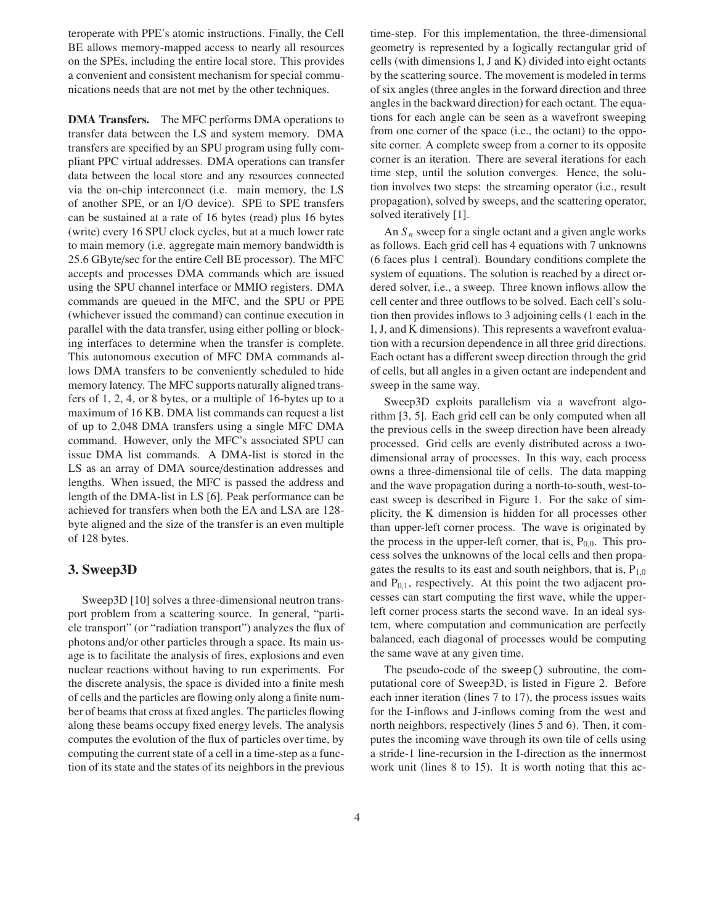teroperate with PPE's atomic instructions. Finally, the Cell BE allows memory-mapped access to nearly all resources on the SPEs, including the entire local store. This provides a convenient and consistent mechanism for special communications needs that are not met by the other techniques.

**DMA Transfers.** The MFC performs DMA operations to transfer data between the LS and system memory. DMA transfers are specified by an SPU program using fully compliant PPC virtual addresses. DMA operations can transfer data between the local store and any resources connected via the on-chip interconnect (i.e. main memory, the LS of another SPE, or an I/O device). SPE to SPE transfers can be sustained at a rate of 16 bytes (read) plus 16 bytes (write) every 16 SPU clock cycles, but at a much lower rate to main memory (i.e. aggregate main memory bandwidth is 25.6 GByte/sec for the entire Cell BE processor). The MFC accepts and processes DMA commands which are issued using the SPU channel interface or MMIO registers. DMA commands are queued in the MFC, and the SPU or PPE (whichever issued the command) can continue execution in parallel with the data transfer, using either polling or blocking interfaces to determine when the transfer is complete. This autonomous execution of MFC DMA commands allows DMA transfers to be conveniently scheduled to hide memory latency. The MFC supports naturally aligned transfers of 1, 2, 4, or 8 bytes, or a multiple of 16-bytes up to a maximum of 16 KB. DMA list commands can request a list of up to 2,048 DMA transfers using a single MFC DMA command. However, only the MFC's associated SPU can issue DMA list commands. A DMA-list is stored in the LS as an array of DMA source/destination addresses and lengths. When issued, the MFC is passed the address and length of the DMA-list in LS [6]. Peak performance can be achieved for transfers when both the EA and LSA are 128 byte aligned and the size of the transfer is an even multiple of 128 bytes.

## **3. Sweep3D**

Sweep3D [10] solves a three-dimensional neutron transport problem from a scattering source. In general, "particle transport" (or "radiation transport") analyzes the flux of photons and/or other particles through a space. Its main usage is to facilitate the analysis of fires, explosions and even nuclear reactions without having to run experiments. For the discrete analysis, the space is divided into a finite mesh of cells and the particles are flowing only along a finite number of beams that cross at fixed angles. The particles flowing along these beams occupy fixed energy levels. The analysis computes the evolution of the flux of particles over time, by computing the current state of a cell in a time-step as a function of its state and the states of its neighbors in the previous

time-step. For this implementation, the three-dimensional geometry is represented by a logically rectangular grid of cells (with dimensions I, J and K) divided into eight octants by the scattering source. The movement is modeled in terms of six angles (three angles in the forward direction and three angles in the backward direction) for each octant. The equations for each angle can be seen as a wavefront sweeping from one corner of the space (i.e., the octant) to the opposite corner. A complete sweep from a corner to its opposite corner is an iteration. There are several iterations for each time step, until the solution converges. Hence, the solution involves two steps: the streaming operator (i.e., result propagation), solved by sweeps, and the scattering operator, solved iteratively [1].

An  $S_n$  sweep for a single octant and a given angle works as follows. Each grid cell has 4 equations with 7 unknowns (6 faces plus 1 central). Boundary conditions complete the system of equations. The solution is reached by a direct ordered solver, i.e., a sweep. Three known inflows allow the cell center and three outflows to be solved. Each cell's solution then provides inflows to 3 adjoining cells (1 each in the I, J, and K dimensions). This represents a wavefront evaluation with a recursion dependence in all three grid directions. Each octant has a different sweep direction through the grid of cells, but all angles in a given octant are independent and sweep in the same way.

Sweep3D exploits parallelism via a wavefront algorithm [3, 5]. Each grid cell can be only computed when all the previous cells in the sweep direction have been already processed. Grid cells are evenly distributed across a twodimensional array of processes. In this way, each process owns a three-dimensional tile of cells. The data mapping and the wave propagation during a north-to-south, west-toeast sweep is described in Figure 1. For the sake of simplicity, the K dimension is hidden for all processes other than upper-left corner process. The wave is originated by the process in the upper-left corner, that is,  $P_{0,0}$ . This process solves the unknowns of the local cells and then propagates the results to its east and south neighbors, that is,  $P_{1,0}$ and  $P_{0,1}$ , respectively. At this point the two adjacent processes can start computing the first wave, while the upperleft corner process starts the second wave. In an ideal system, where computation and communication are perfectly balanced, each diagonal of processes would be computing the same wave at any given time.

The pseudo-code of the sweep() subroutine, the computational core of Sweep3D, is listed in Figure 2. Before each inner iteration (lines 7 to 17), the process issues waits for the I-inflows and J-inflows coming from the west and north neighbors, respectively (lines 5 and 6). Then, it computes the incoming wave through its own tile of cells using a stride-1 line-recursion in the I-direction as the innermost work unit (lines 8 to 15). It is worth noting that this ac-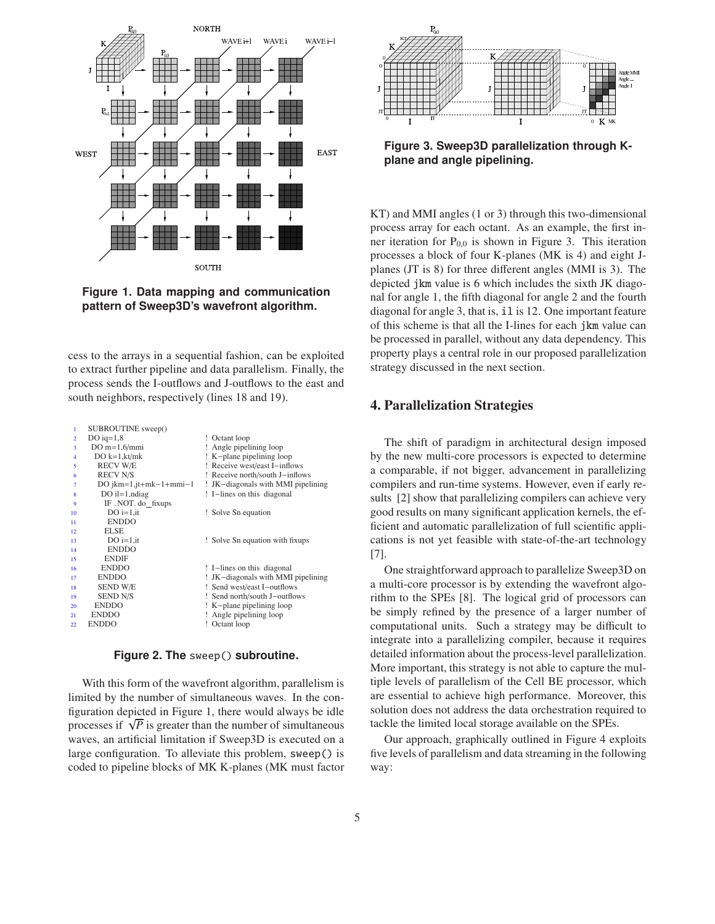

**Figure 1. Data mapping and communication pattern of Sweep3D's wavefront algorithm.**

cess to the arrays in a sequential fashion, can be exploited to extract further pipeline and data parallelism. Finally, the process sends the I-outflows and J-outflows to the east and south neighbors, respectively (lines 18 and 19).

| 1              | SUBROUTINE sweep()       |                                    |
|----------------|--------------------------|------------------------------------|
| $\overline{2}$ | DO $iq=1,8$              | ! Octant loop                      |
| 3              | $DO m=1,6/mmi$           | ! Angle pipelining loop            |
| 4              | DO $k=1,kt/mk$           | ! K-plane pipelining loop          |
| 5              | <b>RECV W/E</b>          | ! Receive west/east I-inflows      |
| 6              | <b>RECV N/S</b>          | ! Receive north/south J-inflows    |
| 7              | DO $jkm=1,jt+mk-1+mmi-1$ | ! JK-diagonals with MMI pipelining |
| 8              | $DO$ il=1, ndiag         | ! I-lines on this diagonal         |
| 9              | IF. NOT. do fixups       |                                    |
| 10             | $DO$ i=1.it              | ! Solve Sn equation                |
| 11             | <b>ENDDO</b>             |                                    |
| 12             | <b>ELSE</b>              |                                    |
| 13             | $DO$ i=1, it             | ! Solve Sn equation with fixups    |
| 14             | <b>ENDDO</b>             |                                    |
| 15             | <b>ENDIF</b>             |                                    |
| 16             | <b>ENDDO</b>             | ! I-lines on this diagonal         |
| 17             | <b>ENDDO</b>             | ! JK-diagonals with MMI pipelining |
| 18             | SEND W/E                 | ! Send west/east I-outflows        |
| 19             | <b>SEND N/S</b>          | ! Send north/south J-outflows      |
| 20             | <b>ENDDO</b>             | ! K-plane pipelining loop          |
| 21             | <b>ENDDO</b>             | ! Angle pipelining loop            |
| 22             | <b>ENDDO</b>             | ! Octant loop                      |

#### **Figure 2. The** sweep() **subroutine.**

With this form of the wavefront algorithm, parallelism is limited by the number of simultaneous waves. In the configuration depicted in Figure 1, there would always be idle processes if  $\sqrt{P}$  is greater than the number of simultaneous waves, an artificial limitation if Sweep3D is executed on a large configuration. To alleviate this problem, sweep() is coded to pipeline blocks of MK K-planes (MK must factor



**Figure 3. Sweep3D parallelization through Kplane and angle pipelining.**

KT) and MMI angles (1 or 3) through this two-dimensional process array for each octant. As an example, the first inner iteration for  $P_{0,0}$  is shown in Figure 3. This iteration processes a block of four K-planes (MK is 4) and eight Jplanes (JT is 8) for three different angles (MMI is 3). The depicted jkm value is 6 which includes the sixth JK diagonal for angle 1, the fifth diagonal for angle 2 and the fourth diagonal for angle 3, that is, il is 12. One important feature of this scheme is that all the I-lines for each jkm value can be processed in parallel, without any data dependency. This property plays a central role in our proposed parallelization strategy discussed in the next section.

## **4. Parallelization Strategies**

The shift of paradigm in architectural design imposed by the new multi-core processors is expected to determine a comparable, if not bigger, advancement in parallelizing compilers and run-time systems. However, even if early results [2] show that parallelizing compilers can achieve very good results on many significant application kernels, the efficient and automatic parallelization of full scientific applications is not yet feasible with state-of-the-art technology [7].

One straightforward approach to parallelize Sweep3D on a multi-core processor is by extending the wavefront algorithm to the SPEs [8]. The logical grid of processors can be simply refined by the presence of a larger number of computational units. Such a strategy may be difficult to integrate into a parallelizing compiler, because it requires detailed information about the process-level parallelization. More important, this strategy is not able to capture the multiple levels of parallelism of the Cell BE processor, which are essential to achieve high performance. Moreover, this solution does not address the data orchestration required to tackle the limited local storage available on the SPEs.

Our approach, graphically outlined in Figure 4 exploits five levels of parallelism and data streaming in the following way: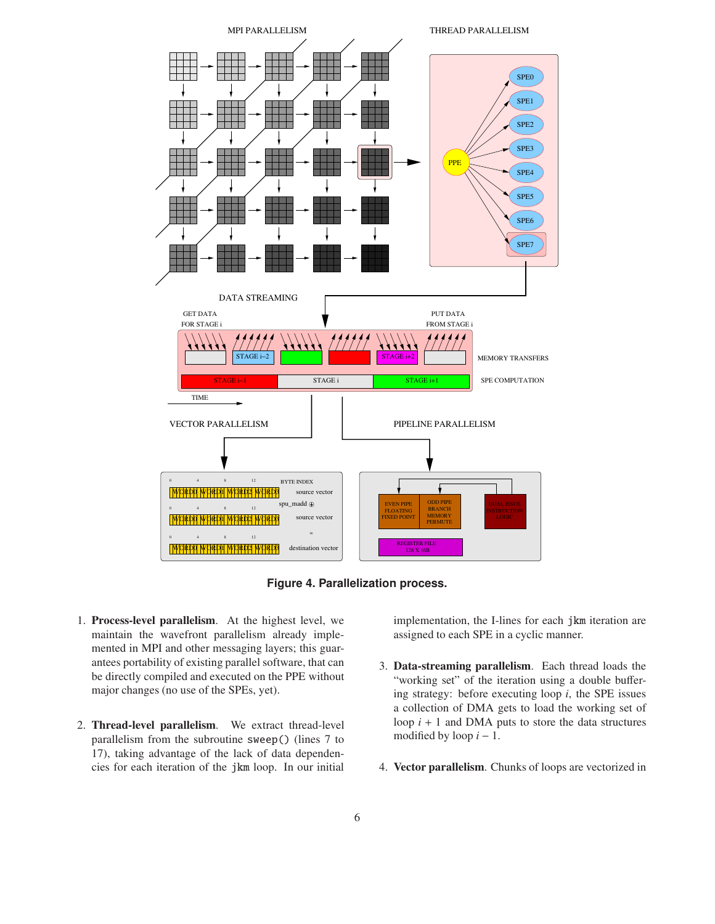



- 1. **Process-level parallelism**. At the highest level, we maintain the wavefront parallelism already implemented in MPI and other messaging layers; this guarantees portability of existing parallel software, that can be directly compiled and executed on the PPE without major changes (no use of the SPEs, yet).
- 2. **Thread-level parallelism**. We extract thread-level parallelism from the subroutine sweep() (lines 7 to 17), taking advantage of the lack of data dependencies for each iteration of the jkm loop. In our initial

implementation, the I-lines for each jkm iteration are assigned to each SPE in a cyclic manner.

- 3. **Data-streaming parallelism**. Each thread loads the "working set" of the iteration using a double buffering strategy: before executing loop *i*, the SPE issues a collection of DMA gets to load the working set of loop  $i + 1$  and DMA puts to store the data structures modified by loop  $i - 1$ .
- 4. **Vector parallelism**. Chunks of loops are vectorized in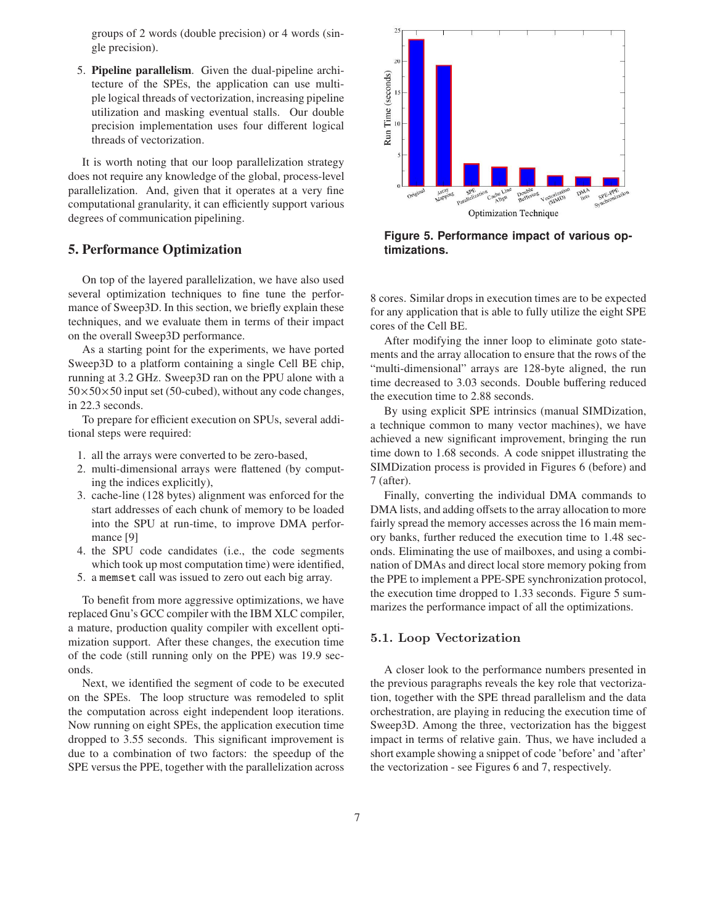groups of 2 words (double precision) or 4 words (single precision).

5. **Pipeline parallelism**. Given the dual-pipeline architecture of the SPEs, the application can use multiple logical threads of vectorization, increasing pipeline utilization and masking eventual stalls. Our double precision implementation uses four different logical threads of vectorization.

It is worth noting that our loop parallelization strategy does not require any knowledge of the global, process-level parallelization. And, given that it operates at a very fine computational granularity, it can efficiently support various degrees of communication pipelining.

## **5. Performance Optimization**

On top of the layered parallelization, we have also used several optimization techniques to fine tune the performance of Sweep3D. In this section, we briefly explain these techniques, and we evaluate them in terms of their impact on the overall Sweep3D performance.

As a starting point for the experiments, we have ported Sweep3D to a platform containing a single Cell BE chip, running at 3.2 GHz. Sweep3D ran on the PPU alone with a  $50\times50\times50$  input set (50-cubed), without any code changes, in 22.3 seconds.

To prepare for efficient execution on SPUs, several additional steps were required:

- 1. all the arrays were converted to be zero-based,
- 2. multi-dimensional arrays were flattened (by computing the indices explicitly),
- 3. cache-line (128 bytes) alignment was enforced for the start addresses of each chunk of memory to be loaded into the SPU at run-time, to improve DMA performance [9]
- 4. the SPU code candidates (i.e., the code segments which took up most computation time) were identified,
- 5. a memset call was issued to zero out each big array.

To benefit from more aggressive optimizations, we have replaced Gnu's GCC compiler with the IBM XLC compiler, a mature, production quality compiler with excellent optimization support. After these changes, the execution time of the code (still running only on the PPE) was 19.9 seconds.

Next, we identified the segment of code to be executed on the SPEs. The loop structure was remodeled to split the computation across eight independent loop iterations. Now running on eight SPEs, the application execution time dropped to 3.55 seconds. This significant improvement is due to a combination of two factors: the speedup of the SPE versus the PPE, together with the parallelization across



**Figure 5. Performance impact of various optimizations.**

8 cores. Similar drops in execution times are to be expected for any application that is able to fully utilize the eight SPE cores of the Cell BE.

After modifying the inner loop to eliminate goto statements and the array allocation to ensure that the rows of the "multi-dimensional" arrays are 128-byte aligned, the run time decreased to 3.03 seconds. Double buffering reduced the execution time to 2.88 seconds.

By using explicit SPE intrinsics (manual SIMDization, a technique common to many vector machines), we have achieved a new significant improvement, bringing the run time down to 1.68 seconds. A code snippet illustrating the SIMDization process is provided in Figures 6 (before) and 7 (after).

Finally, converting the individual DMA commands to DMA lists, and adding offsets to the array allocation to more fairly spread the memory accesses across the 16 main memory banks, further reduced the execution time to 1.48 seconds. Eliminating the use of mailboxes, and using a combination of DMAs and direct local store memory poking from the PPE to implement a PPE-SPE synchronization protocol, the execution time dropped to 1.33 seconds. Figure 5 summarizes the performance impact of all the optimizations.

#### 5.1. Loop Vectorization

A closer look to the performance numbers presented in the previous paragraphs reveals the key role that vectorization, together with the SPE thread parallelism and the data orchestration, are playing in reducing the execution time of Sweep3D. Among the three, vectorization has the biggest impact in terms of relative gain. Thus, we have included a short example showing a snippet of code 'before' and 'after' the vectorization - see Figures 6 and 7, respectively.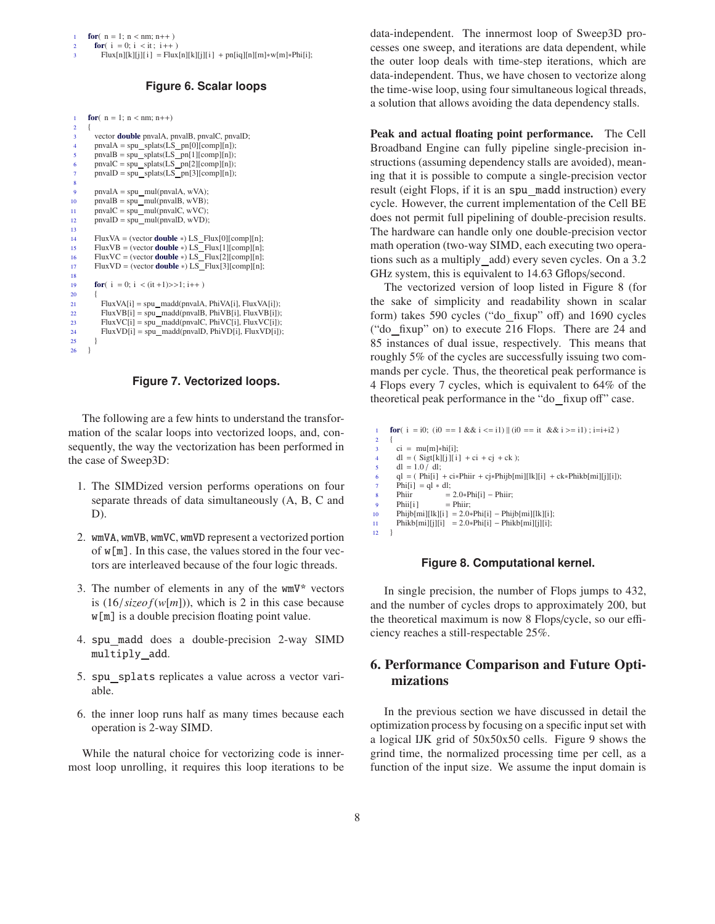$Flux[n][k][j][i] = Flux[n][k][j][i] + pn[iq][n][m]*w[m]*Phi[i];$ 

## **Figure 6. Scalar loops**

```
1 for(n = 1; n < nm; n++)
\frac{2}{3}vector double pnvalA, pnvalB, pnvalC, pnvalD;<br>
4 pnvalA = spu_splats(LS_pn[0][comp][n]);
        pnvalB = spu_splats(LS_pn[1][comp][n]);
        p n valC = spu_splats(LS_p n[2][comp][n]);pnvalD = spu splats(LS pn[3][comp][n]);
 8
9 pnvalA = spu_mul(pnvalA, wVA);
10 pnvalB = spu_mul(pnvalB, wVB);
11 pnvalC = spumul(pnvalC, wVC);
12 pnvalD = spu_mul(pnvalD, wVD);
13
14 FluxVA = (vector double ∗) LS Flux[0][comp][n];
15 FluxVB = (vector double ∗) LS Flux[1][comp][n];
16 FluxVC = (vector double *) LS_Flux[2][comp][n];<br>17 FluxVD = (vector double *) LS_Flux[3][comp][n]:
        17 FluxVD = (vector double ∗) LS Flux[3][comp][n];
18
19 for(i = 0; i < (it + 1) > > 1; i++)\frac{20}{21}21 FluxVA[i] = spu_madd(pnvalA, PhiVA[i], FluxVA[i]);<br>22 FluxVB[i] = spu_madd(pnvalB, PhiVB[i], FluxVB[i]);
          FluxVB[i] = spu_madd(pnvalB, PhiVB[i], FluxVB[i]);
23 FluxVC[i] = spu_madd(pnvalC, PhiVC[i], FluxVC[i]);<br>24 FluxVD[i] = spu_madd(pnvalD, PhiVD[i], FluxVD[i]);
          FluxVD[i] = spu_madd(pnvalD, PhiVD[i], FluxVD[i]);
\begin{array}{c} 25 \\ 26 \end{array}26 }
```
#### **Figure 7. Vectorized loops.**

The following are a few hints to understand the transformation of the scalar loops into vectorized loops, and, consequently, the way the vectorization has been performed in the case of Sweep3D:

- 1. The SIMDized version performs operations on four separate threads of data simultaneously (A, B, C and D).
- 2. wmVA, wmVB, wmVC, wmVD represent a vectorized portion of w[m]. In this case, the values stored in the four vectors are interleaved because of the four logic threads.
- 3. The number of elements in any of the wmV\* vectors is  $(16/size of (w[m]))$ , which is 2 in this case because w[m] is a double precision floating point value.
- 4. spu madd does a double-precision 2-way SIMD multiply add.
- 5. spu\_splats replicates a value across a vector variable.
- 6. the inner loop runs half as many times because each operation is 2-way SIMD.

While the natural choice for vectorizing code is innermost loop unrolling, it requires this loop iterations to be data-independent. The innermost loop of Sweep3D processes one sweep, and iterations are data dependent, while the outer loop deals with time-step iterations, which are data-independent. Thus, we have chosen to vectorize along the time-wise loop, using four simultaneous logical threads, a solution that allows avoiding the data dependency stalls.

**Peak and actual floating point performance.** The Cell Broadband Engine can fully pipeline single-precision instructions (assuming dependency stalls are avoided), meaning that it is possible to compute a single-precision vector result (eight Flops, if it is an spu madd instruction) every cycle. However, the current implementation of the Cell BE does not permit full pipelining of double-precision results. The hardware can handle only one double-precision vector math operation (two-way SIMD, each executing two operations such as a multiply add) every seven cycles. On a 3.2 GHz system, this is equivalent to 14.63 Gflops/second.

The vectorized version of loop listed in Figure 8 (for the sake of simplicity and readability shown in scalar form) takes 590 cycles ("do\_fixup" off) and 1690 cycles ("do\_fixup" on) to execute 216 Flops. There are 24 and 85 instances of dual issue, respectively. This means that roughly 5% of the cycles are successfully issuing two commands per cycle. Thus, the theoretical peak performance is 4 Flops every 7 cycles, which is equivalent to 64% of the theoretical peak performance in the "do fixup off" case.

```
for( i = i0; (i0 = = 1 && i < = i1) || (i0 = = it && i > = i1); i=i+i2 )
 2 {
 3 ci = mu[m]∗hi[i];
        dl = (Sigt[k][j][i] + ci + cj + ck);dl = 1.0 \bar{/} dl;ql = (Phi + ci *Phi + cj *Phi[mi][lk][i] + ck *Phi[mi][j][i]);Phi[i] = ql * dl;<br>Phiir =
8 Phiir = 2.0*Phi[i] - Philip;<br>9 Phiifil = Phiir:
        Phii[i]
10 Phijb[mi][lk][i] = 2.0∗Phi[i] – Phijb[mi][lk][i];<br>11 Phikb[mi][i][i] = 2.0∗Phi[i] – Phikb[mi][i][i];
11 Phikb[mi][j][i] = 2.0∗Phi[i] − Phikb[mi][j][i];
    \overline{\phantom{a}}
```
#### **Figure 8. Computational kernel.**

In single precision, the number of Flops jumps to 432, and the number of cycles drops to approximately 200, but the theoretical maximum is now 8 Flops/cycle, so our efficiency reaches a still-respectable 25%.

# **6. Performance Comparison and Future Optimizations**

In the previous section we have discussed in detail the optimization process by focusing on a specific input set with a logical IJK grid of 50x50x50 cells. Figure 9 shows the grind time, the normalized processing time per cell, as a function of the input size. We assume the input domain is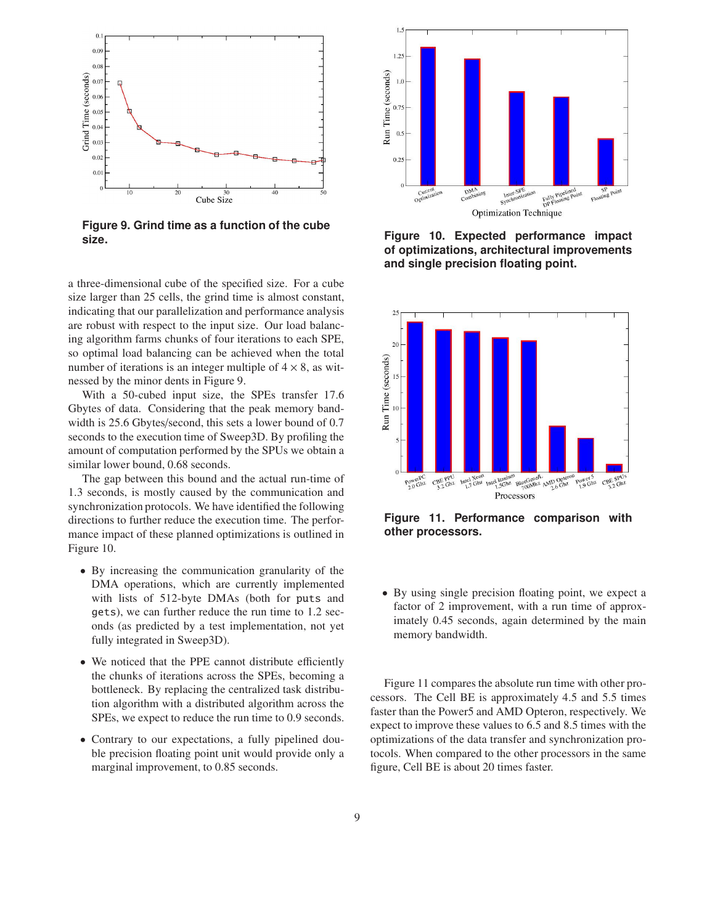

**Figure 9. Grind time as a function of the cube size.**

a three-dimensional cube of the specified size. For a cube size larger than 25 cells, the grind time is almost constant, indicating that our parallelization and performance analysis are robust with respect to the input size. Our load balancing algorithm farms chunks of four iterations to each SPE, so optimal load balancing can be achieved when the total number of iterations is an integer multiple of  $4 \times 8$ , as witnessed by the minor dents in Figure 9.

With a 50-cubed input size, the SPEs transfer 17.6 Gbytes of data. Considering that the peak memory bandwidth is 25.6 Gbytes/second, this sets a lower bound of 0.7 seconds to the execution time of Sweep3D. By profiling the amount of computation performed by the SPUs we obtain a similar lower bound, 0.68 seconds.

The gap between this bound and the actual run-time of 1.3 seconds, is mostly caused by the communication and synchronization protocols. We have identified the following directions to further reduce the execution time. The performance impact of these planned optimizations is outlined in Figure 10.

- By increasing the communication granularity of the DMA operations, which are currently implemented with lists of 512-byte DMAs (both for puts and gets), we can further reduce the run time to 1.2 seconds (as predicted by a test implementation, not yet fully integrated in Sweep3D).
- We noticed that the PPE cannot distribute efficiently the chunks of iterations across the SPEs, becoming a bottleneck. By replacing the centralized task distribution algorithm with a distributed algorithm across the SPEs, we expect to reduce the run time to 0.9 seconds.
- Contrary to our expectations, a fully pipelined double precision floating point unit would provide only a marginal improvement, to 0.85 seconds.



**Figure 10. Expected performance impact of optimizations, architectural improvements and single precision floating point.**



**Figure 11. Performance comparison with other processors.**

• By using single precision floating point, we expect a factor of 2 improvement, with a run time of approximately 0.45 seconds, again determined by the main memory bandwidth.

Figure 11 compares the absolute run time with other processors. The Cell BE is approximately 4.5 and 5.5 times faster than the Power5 and AMD Opteron, respectively. We expect to improve these values to 6.5 and 8.5 times with the optimizations of the data transfer and synchronization protocols. When compared to the other processors in the same figure, Cell BE is about 20 times faster.